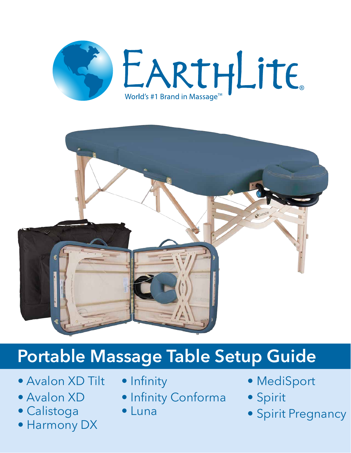



# **Portable Massage Table Setup Guide**

- Avalon XD Tilt
- Avalon XD
- Calistoga
- Harmony DX
- Infinity
- Infinity Conforma
- Luna
- MediSport
- Spirit
- Spirit Pregnancy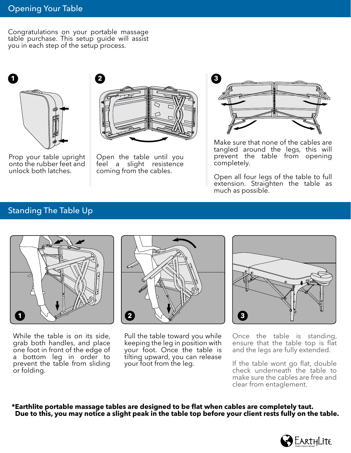Congratulations on your portable massage table purchase. This setup guide will assist you in each step of the setup process.



Prop your table upright onto the rubber feet and unlock both latches.



Open the table until you feel a slight resistence coming from the cables.



Make sure that none of the cables are tangled around the legs, this will prevent the table from opening completely.

Open all four legs of the table to full extension. Straighten the table as much as possible.

## Standing The Table Up



While the table is on its side, grab both handles, and place one foot in front of the edge of a bottom leg in order to prevent the table from sliding or folding.



Pull the table toward you while keeping the leg in position with your foot. Once the table is tilting upward, you can release your foot from the leg.



Once the table is standing, ensure that the table top is flat and the legs are fully extended.

If the table wont go flat, double check underneath the table to make sure the cables are free and clear from entaglement.

**\*Earthlite portable massage tables are designed to be flat when cables are completely taut. Due to this, you may notice a slight peak in the table top before your client rests fully on the table.**

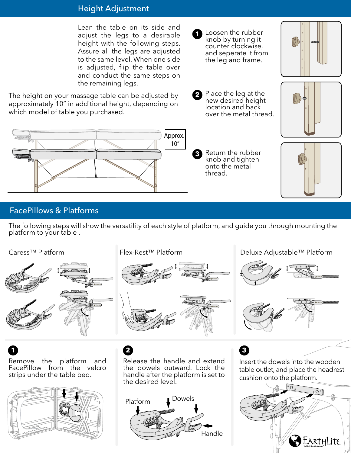### Height Adjustment

Lean the table on its side and adiust the legs to a desirable height with the following steps. Assure all the legs are adjusted to the same level. When one side is adjusted, flip the table over and conduct the same steps on the remaining legs.

The height on your massage table can be adjusted by approximately 10" in additional height, depending on which model of table you purchased.



### FacePillows & Platforms

The following steps will show the versatility of each style of platform, and guide you through mounting the platform to your table .



Remove the platform and FacePillow from the velcro strips under the table bed. **1 2 3**



Release the handle and extend the dowels outward. Lock the handle after the platform is set to the desired level.



Insert the dowels into the wooden table outlet, and place the headrest cushion onto the platform.





**2** Place the leg at the new desired height location and back over the metal thread.

**1** Loosen the rubber knob by turning it counter clockwise, and seperate it from the leg and frame.